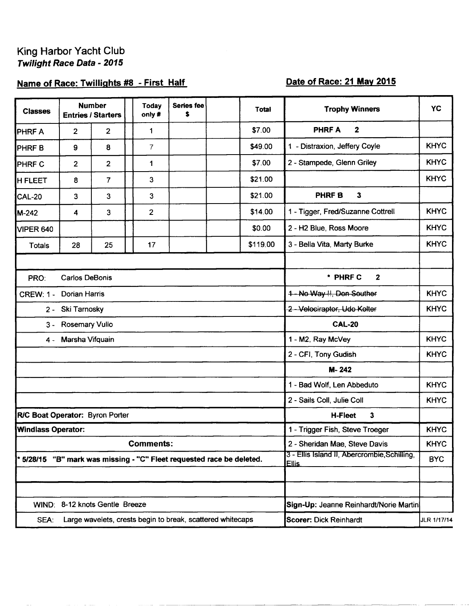## King Harbor Yacht Club Twilight Race Data - 2015

## Name of Race: Twillights #8 - First Half

## Date of Race: 21 May 2015

| <b>Classes</b>                         |                       | <b>Number</b><br><b>Entries / Starters</b> | <b>Today</b><br>only#                                               | Series fee<br>\$         |  | <b>Total</b> | <b>Trophy Winners</b>                                        | <b>YC</b>   |  |
|----------------------------------------|-----------------------|--------------------------------------------|---------------------------------------------------------------------|--------------------------|--|--------------|--------------------------------------------------------------|-------------|--|
| <b>PHRF A</b>                          | $\overline{2}$        | 2                                          | 1                                                                   |                          |  | \$7.00       | <b>PHRFA</b><br>$\mathbf{2}$                                 |             |  |
| <b>PHRFB</b>                           | 9                     | 8                                          | 7                                                                   |                          |  | \$49.00      | 1 - Distraxion, Jeffery Coyle                                | <b>KHYC</b> |  |
| <b>PHRF C</b>                          | $\overline{2}$        | 2                                          | 1                                                                   |                          |  | \$7.00       | 2 - Stampede, Glenn Griley                                   | <b>KHYC</b> |  |
| <b>H FLEET</b>                         | 8                     | 7                                          | 3                                                                   |                          |  | \$21.00      |                                                              | <b>KHYC</b> |  |
| <b>CAL-20</b>                          | 3                     | 3                                          | 3                                                                   |                          |  | \$21.00      | PHRF B<br>3                                                  |             |  |
| M-242                                  | 4                     | 3                                          | $\overline{2}$                                                      |                          |  | \$14.00      | 1 - Tigger, Fred/Suzanne Cottrell                            | <b>KHYC</b> |  |
| VIPER 640                              |                       |                                            |                                                                     |                          |  | \$0.00       | 2 - H2 Blue, Ross Moore                                      | <b>KHYC</b> |  |
| <b>Totals</b>                          | 28                    | 25                                         | 17                                                                  |                          |  | \$119.00     | 3 - Bella Vita, Marty Burke                                  | <b>KHYC</b> |  |
|                                        |                       |                                            |                                                                     |                          |  |              |                                                              |             |  |
| PRO:                                   | <b>Carlos DeBonis</b> |                                            |                                                                     | * PHRF C<br>$\mathbf{2}$ |  |              |                                                              |             |  |
| <b>CREW: 1 -</b>                       | <b>Dorian Harris</b>  |                                            |                                                                     |                          |  |              | <b>KHYC</b><br>1-No Way !!, Don Souther                      |             |  |
| Ski Tarnosky<br>$2 -$                  |                       |                                            |                                                                     |                          |  |              | 2-Velociraptor, Udo Kolter                                   | <b>KHYC</b> |  |
| <b>Rosemary Vullo</b><br>$3 -$         |                       |                                            |                                                                     |                          |  |              | <b>CAL-20</b>                                                |             |  |
| 4 -                                    | Marsha Vifquain       |                                            |                                                                     |                          |  |              | 1 - M2, Ray McVey                                            | <b>KHYC</b> |  |
|                                        |                       |                                            |                                                                     |                          |  |              | 2 - CFI, Tony Gudish                                         | <b>KHYC</b> |  |
|                                        |                       |                                            |                                                                     |                          |  |              | M-242                                                        |             |  |
|                                        |                       |                                            |                                                                     |                          |  |              | 1 - Bad Wolf, Len Abbeduto                                   | <b>KHYC</b> |  |
|                                        |                       |                                            |                                                                     |                          |  |              | 2 - Sails Coll, Julie Coll                                   | <b>KHYC</b> |  |
| <b>R/C Boat Operator: Byron Porter</b> |                       |                                            |                                                                     |                          |  |              | 3<br><b>H-Fleet</b>                                          |             |  |
| <b>Windlass Operator:</b>              |                       |                                            |                                                                     |                          |  |              | 1 - Trigger Fish, Steve Troeger                              | <b>KHYC</b> |  |
|                                        |                       |                                            | <b>Comments:</b>                                                    |                          |  |              | 2 - Sheridan Mae, Steve Davis                                | <b>KHYC</b> |  |
|                                        |                       |                                            | 5/28/15 "B" mark was missing - "C" Fleet requested race be deleted. |                          |  |              | 3 - Ellis Island II, Abercrombie, Schilling,<br><b>Ellis</b> | <b>BYC</b>  |  |
|                                        |                       |                                            |                                                                     |                          |  |              |                                                              |             |  |
|                                        |                       | WIND: 8-12 knots Gentle Breeze             |                                                                     |                          |  |              |                                                              |             |  |
|                                        |                       |                                            |                                                                     |                          |  |              | Sign-Up: Jeanne Reinhardt/Norie Martin                       |             |  |
| SEA:                                   |                       |                                            | Large wavelets, crests begin to break, scattered whitecaps          |                          |  |              | Scorer: Dick Reinhardt                                       | JLR 1/17/14 |  |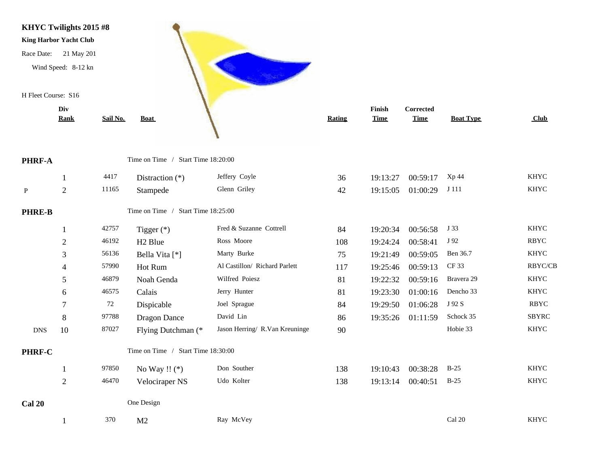

|               | Rank           | Sail No. | <b>Boat</b>                        |                                | <b>Rating</b> | <b>Time</b> | <b>Time</b> | <b>Boat Type</b> | Club         |
|---------------|----------------|----------|------------------------------------|--------------------------------|---------------|-------------|-------------|------------------|--------------|
| PHRF-A        |                |          | Time on Time / Start Time 18:20:00 |                                |               |             |             |                  |              |
|               | 1              | 4417     | Distraction $(*)$                  | Jeffery Coyle                  | 36            | 19:13:27    | 00:59:17    | Xp 44            | <b>KHYC</b>  |
| Þ             | $\sqrt{2}$     | 11165    | Stampede                           | Glenn Griley                   | 42            | 19:15:05    | 01:00:29    | J 111            | <b>KHYC</b>  |
| <b>PHRE-B</b> |                |          | Time on Time / Start Time 18:25:00 |                                |               |             |             |                  |              |
|               | $\mathbf{1}$   | 42757    | Tigger $(*)$                       | Fred & Suzanne Cottrell        | 84            | 19:20:34    | 00:56:58    | J 33             | <b>KHYC</b>  |
|               | $\overline{2}$ | 46192    | H <sub>2</sub> Blue                | Ross Moore                     | 108           | 19:24:24    | 00:58:41    | J 92             | <b>RBYC</b>  |
|               | 3              | 56136    | Bella Vita [*]                     | Marty Burke                    | 75            | 19:21:49    | 00:59:05    | Ben 36.7         | <b>KHYC</b>  |
|               | $\overline{4}$ | 57990    | Hot Rum                            | Al Castillon/ Richard Parlett  | 117           | 19:25:46    | 00:59:13    | CF 33            | RBYC/CB      |
|               | 5              | 46879    | Noah Genda                         | Wilfred Poiesz                 | 81            | 19:22:32    | 00:59:16    | Bravera 29       | <b>KHYC</b>  |
|               | 6              | 46575    | Calais                             | Jerry Hunter                   | 81            | 19:23:30    | 01:00:16    | Dencho 33        | <b>KHYC</b>  |
|               | 7              | 72       | Dispicable                         | Joel Sprague                   | 84            | 19:29:50    | 01:06:28    | J 92 S           | <b>RBYC</b>  |
|               | 8              | 97788    | Dragon Dance                       | David Lin                      | 86            | 19:35:26    | 01:11:59    | Schock 35        | <b>SBYRC</b> |
| <b>DNS</b>    | $10\,$         | 87027    | Flying Dutchman (*                 | Jason Herring/ R.Van Kreuninge | 90            |             |             | Hobie 33         | <b>KHYC</b>  |
| PHRF-C        |                |          | Time on Time / Start Time 18:30:00 |                                |               |             |             |                  |              |
|               |                | 97850    | No Way !! $(*)$                    | Don Souther                    | 138           | 19:10:43    | 00:38:28    | $B-25$           | <b>KHYC</b>  |
|               | $\overline{2}$ | 46470    | Velociraper NS                     | Udo Kolter                     | 138           | 19:13:14    | 00:40:51    | $B-25$           | <b>KHYC</b>  |
| Cal 20        |                |          | One Design                         |                                |               |             |             |                  |              |
|               |                | 370      | M <sub>2</sub>                     | Ray McVey                      |               |             |             | Cal 20           | <b>KHYC</b>  |

**PHRE-B** 

PHRF-C

**Cal 20** 

**PHRF-A**